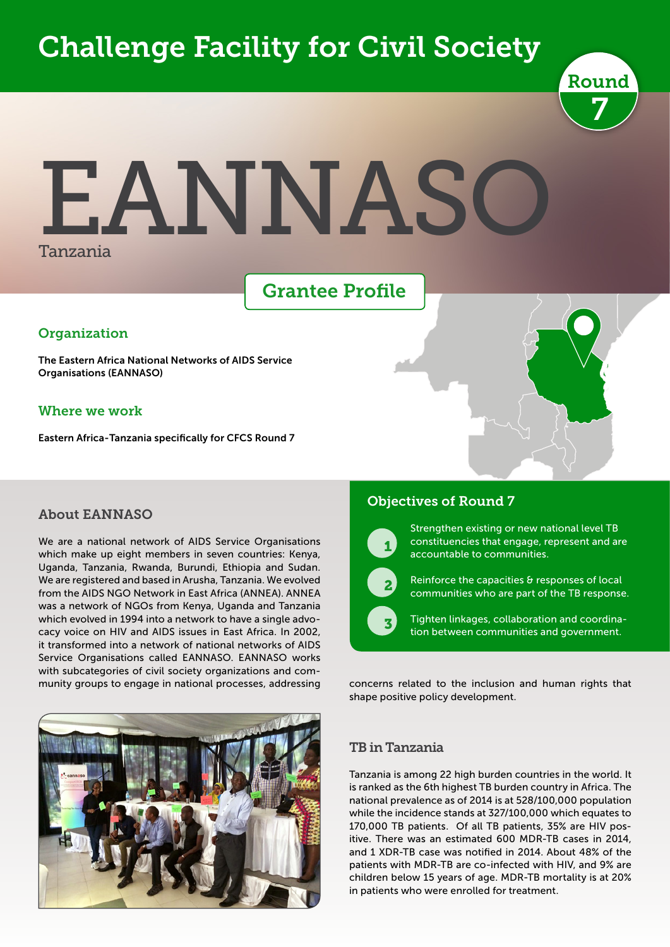# Challenge Facility for Civil Society



# EANNASC Tanzania

## Grantee Profile

#### **Organization**

The Eastern Africa National Networks of AIDS Service Organisations (EANNASO)

#### Where we work

Eastern Africa - Tanzania specifically for CFCS Round 7

#### About EANNASO

We are a national network of AIDS Service Organisations which make up eight members in seven countries: Kenya, Uganda, Tanzania, Rwanda, Burundi, Ethiopia and Sudan. We are registered and based in Arusha, Tanzania. We evolved from the AIDS NGO Network in East Africa (ANNEA). ANNEA was a network of NGOs from Kenya, Uganda and Tanzania which evolved in 1994 into a network to have a single advocacy voice on HIV and AIDS issues in East Africa. In 2002, it transformed into a network of national networks of AIDS Service Organisations called EANNASO. EANNASO works with subcategories of civil society organizations and community groups to engage in national processes, addressing



#### Objectives of Round 7



 $\overline{\phantom{a}}$  2

 $\overline{\phantom{0}}$ 

Strengthen existing or new national level TB constituencies that engage, represent and are accountable to communities.



Tighten linkages, collaboration and coordination between communities and government.

concerns related to the inclusion and human rights that shape positive policy development.

#### TB in Tanzania

Tanzania is among 22 high burden countries in the world. It is ranked as the 6th highest TB burden country in Africa. The national prevalence as of 2014 is at 528/100,000 population while the incidence stands at 327/100,000 which equates to 170,000 TB patients. Of all TB patients, 35% are HIV positive. There was an estimated 600 MDR-TB cases in 2014, and 1 XDR-TB case was notified in 2014. About 48% of the patients with MDR-TB are co-infected with HIV, and 9% are children below 15 years of age. MDR-TB mortality is at 20% in patients who were enrolled for treatment.